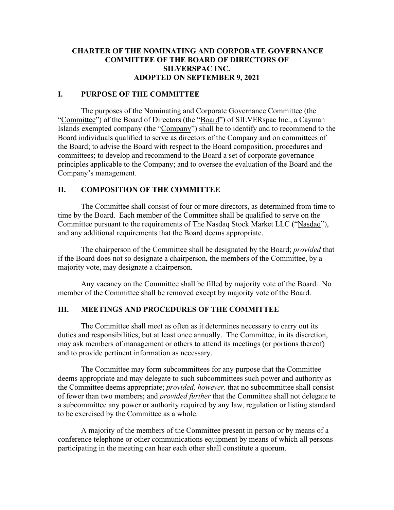## **CHARTER OF THE NOMINATING AND CORPORATE GOVERNANCE COMMITTEE OF THE BOARD OF DIRECTORS OF SILVERSPAC INC. ADOPTED ON SEPTEMBER 9, 2021**

#### **I. PURPOSE OF THE COMMITTEE**

The purposes of the Nominating and Corporate Governance Committee (the "Committee") of the Board of Directors (the "Board") of SILVERspac Inc., a Cayman Islands exempted company (the "Company") shall be to identify and to recommend to the Board individuals qualified to serve as directors of the Company and on committees of the Board; to advise the Board with respect to the Board composition, procedures and committees; to develop and recommend to the Board a set of corporate governance principles applicable to the Company; and to oversee the evaluation of the Board and the Company's management.

#### **II. COMPOSITION OF THE COMMITTEE**

The Committee shall consist of four or more directors, as determined from time to time by the Board. Each member of the Committee shall be qualified to serve on the Committee pursuant to the requirements of The Nasdaq Stock Market LLC ("Nasdaq"), and any additional requirements that the Board deems appropriate.

The chairperson of the Committee shall be designated by the Board; *provided* that if the Board does not so designate a chairperson, the members of the Committee, by a majority vote, may designate a chairperson.

Any vacancy on the Committee shall be filled by majority vote of the Board. No member of the Committee shall be removed except by majority vote of the Board.

## **III. MEETINGS AND PROCEDURES OF THE COMMITTEE**

The Committee shall meet as often as it determines necessary to carry out its duties and responsibilities, but at least once annually. The Committee, in its discretion, may ask members of management or others to attend its meetings (or portions thereof) and to provide pertinent information as necessary.

The Committee may form subcommittees for any purpose that the Committee deems appropriate and may delegate to such subcommittees such power and authority as the Committee deems appropriate; *provided, however,* that no subcommittee shall consist of fewer than two members; and *provided further* that the Committee shall not delegate to a subcommittee any power or authority required by any law, regulation or listing standard to be exercised by the Committee as a whole.

A majority of the members of the Committee present in person or by means of a conference telephone or other communications equipment by means of which all persons participating in the meeting can hear each other shall constitute a quorum.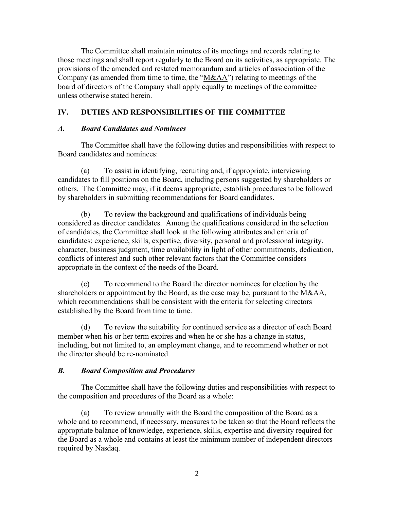The Committee shall maintain minutes of its meetings and records relating to those meetings and shall report regularly to the Board on its activities, as appropriate. The provisions of the amended and restated memorandum and articles of association of the Company (as amended from time to time, the " $M&AA$ ") relating to meetings of the board of directors of the Company shall apply equally to meetings of the committee unless otherwise stated herein.

# **IV. DUTIES AND RESPONSIBILITIES OF THE COMMITTEE**

## *A. Board Candidates and Nominees*

The Committee shall have the following duties and responsibilities with respect to Board candidates and nominees:

(a) To assist in identifying, recruiting and, if appropriate, interviewing candidates to fill positions on the Board, including persons suggested by shareholders or others. The Committee may, if it deems appropriate, establish procedures to be followed by shareholders in submitting recommendations for Board candidates.

(b) To review the background and qualifications of individuals being considered as director candidates. Among the qualifications considered in the selection of candidates, the Committee shall look at the following attributes and criteria of candidates: experience, skills, expertise, diversity, personal and professional integrity, character, business judgment, time availability in light of other commitments, dedication, conflicts of interest and such other relevant factors that the Committee considers appropriate in the context of the needs of the Board.

(c) To recommend to the Board the director nominees for election by the shareholders or appointment by the Board, as the case may be, pursuant to the M&AA, which recommendations shall be consistent with the criteria for selecting directors established by the Board from time to time.

(d) To review the suitability for continued service as a director of each Board member when his or her term expires and when he or she has a change in status, including, but not limited to, an employment change, and to recommend whether or not the director should be re-nominated.

# *B. Board Composition and Procedures*

The Committee shall have the following duties and responsibilities with respect to the composition and procedures of the Board as a whole:

(a) To review annually with the Board the composition of the Board as a whole and to recommend, if necessary, measures to be taken so that the Board reflects the appropriate balance of knowledge, experience, skills, expertise and diversity required for the Board as a whole and contains at least the minimum number of independent directors required by Nasdaq.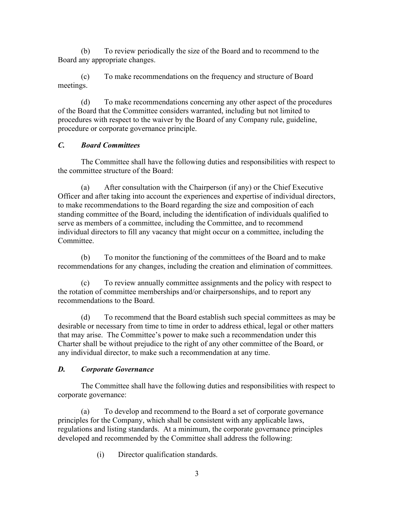(b) To review periodically the size of the Board and to recommend to the Board any appropriate changes.

(c) To make recommendations on the frequency and structure of Board meetings.

(d) To make recommendations concerning any other aspect of the procedures of the Board that the Committee considers warranted, including but not limited to procedures with respect to the waiver by the Board of any Company rule, guideline, procedure or corporate governance principle.

## *C. Board Committees*

The Committee shall have the following duties and responsibilities with respect to the committee structure of the Board:

(a) After consultation with the Chairperson (if any) or the Chief Executive Officer and after taking into account the experiences and expertise of individual directors, to make recommendations to the Board regarding the size and composition of each standing committee of the Board, including the identification of individuals qualified to serve as members of a committee, including the Committee, and to recommend individual directors to fill any vacancy that might occur on a committee, including the Committee.

(b) To monitor the functioning of the committees of the Board and to make recommendations for any changes, including the creation and elimination of committees.

(c) To review annually committee assignments and the policy with respect to the rotation of committee memberships and/or chairpersonships, and to report any recommendations to the Board.

(d) To recommend that the Board establish such special committees as may be desirable or necessary from time to time in order to address ethical, legal or other matters that may arise. The Committee's power to make such a recommendation under this Charter shall be without prejudice to the right of any other committee of the Board, or any individual director, to make such a recommendation at any time.

# *D. Corporate Governance*

The Committee shall have the following duties and responsibilities with respect to corporate governance:

(a) To develop and recommend to the Board a set of corporate governance principles for the Company, which shall be consistent with any applicable laws, regulations and listing standards. At a minimum, the corporate governance principles developed and recommended by the Committee shall address the following:

(i) Director qualification standards.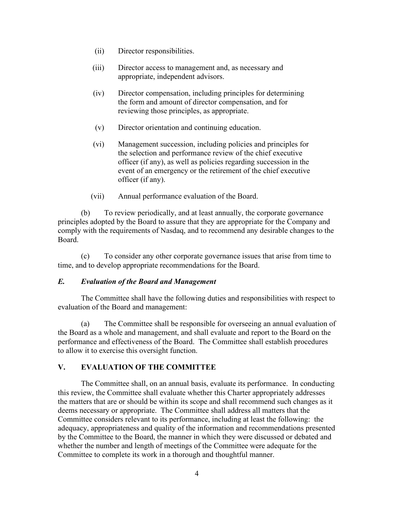- (ii) Director responsibilities.
- (iii) Director access to management and, as necessary and appropriate, independent advisors.
- (iv) Director compensation, including principles for determining the form and amount of director compensation, and for reviewing those principles, as appropriate.
- (v) Director orientation and continuing education.
- (vi) Management succession, including policies and principles for the selection and performance review of the chief executive officer (if any), as well as policies regarding succession in the event of an emergency or the retirement of the chief executive officer (if any).
- (vii) Annual performance evaluation of the Board.

(b) To review periodically, and at least annually, the corporate governance principles adopted by the Board to assure that they are appropriate for the Company and comply with the requirements of Nasdaq, and to recommend any desirable changes to the Board.

(c) To consider any other corporate governance issues that arise from time to time, and to develop appropriate recommendations for the Board.

#### *E. Evaluation of the Board and Management*

The Committee shall have the following duties and responsibilities with respect to evaluation of the Board and management:

(a) The Committee shall be responsible for overseeing an annual evaluation of the Board as a whole and management, and shall evaluate and report to the Board on the performance and effectiveness of the Board. The Committee shall establish procedures to allow it to exercise this oversight function.

## **V. EVALUATION OF THE COMMITTEE**

The Committee shall, on an annual basis, evaluate its performance. In conducting this review, the Committee shall evaluate whether this Charter appropriately addresses the matters that are or should be within its scope and shall recommend such changes as it deems necessary or appropriate. The Committee shall address all matters that the Committee considers relevant to its performance, including at least the following: the adequacy, appropriateness and quality of the information and recommendations presented by the Committee to the Board, the manner in which they were discussed or debated and whether the number and length of meetings of the Committee were adequate for the Committee to complete its work in a thorough and thoughtful manner.